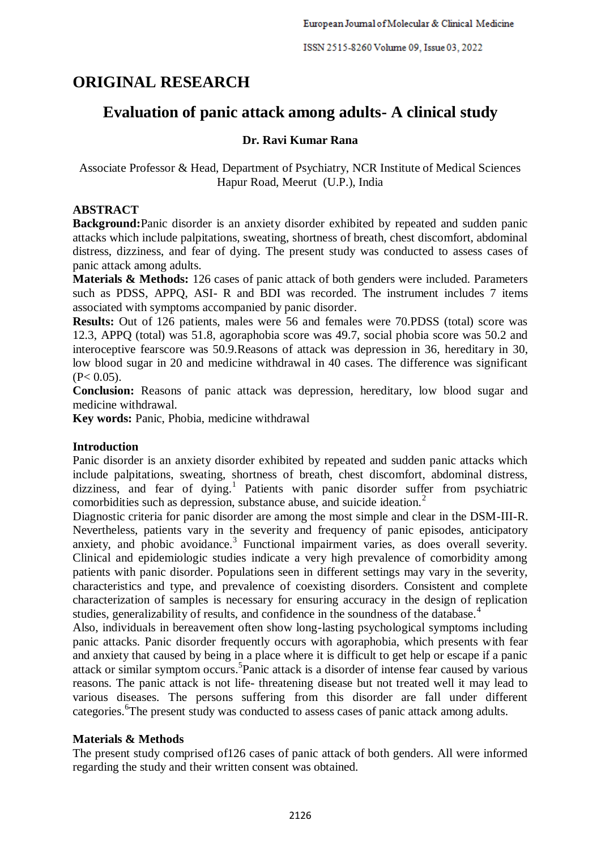# **ORIGINAL RESEARCH**

# **Evaluation of panic attack among adults- A clinical study**

# **Dr. Ravi Kumar Rana**

Associate Professor & Head, Department of Psychiatry, NCR Institute of Medical Sciences Hapur Road, Meerut (U.P.), India

# **ABSTRACT**

**Background:**Panic disorder is an anxiety disorder exhibited by repeated and sudden panic attacks which include palpitations, sweating, shortness of breath, chest discomfort, abdominal distress, dizziness, and fear of dying. The present study was conducted to assess cases of panic attack among adults.

**Materials & Methods:** 126 cases of panic attack of both genders were included. Parameters such as PDSS, APPQ, ASI- R and BDI was recorded. The instrument includes 7 items associated with symptoms accompanied by panic disorder.

**Results:** Out of 126 patients, males were 56 and females were 70.PDSS (total) score was 12.3, APPQ (total) was 51.8, agoraphobia score was 49.7, social phobia score was 50.2 and interoceptive fearscore was 50.9.Reasons of attack was depression in 36, hereditary in 30, low blood sugar in 20 and medicine withdrawal in 40 cases. The difference was significant  $(P< 0.05)$ .

**Conclusion:** Reasons of panic attack was depression, hereditary, low blood sugar and medicine withdrawal.

**Key words:** Panic, Phobia, medicine withdrawal

# **Introduction**

Panic disorder is an anxiety disorder exhibited by repeated and sudden panic attacks which include palpitations, sweating, shortness of breath, chest discomfort, abdominal distress, dizziness, and fear of dying.<sup>1</sup> Patients with panic disorder suffer from psychiatric comorbidities such as depression, substance abuse, and suicide ideation.<sup>2</sup>

Diagnostic criteria for panic disorder are among the most simple and clear in the DSM-III-R. Nevertheless, patients vary in the severity and frequency of panic episodes, anticipatory anxiety, and phobic avoidance.<sup>3</sup> Functional impairment varies, as does overall severity. Clinical and epidemiologic studies indicate a very high prevalence of comorbidity among patients with panic disorder. Populations seen in different settings may vary in the severity, characteristics and type, and prevalence of coexisting disorders. Consistent and complete characterization of samples is necessary for ensuring accuracy in the design of replication studies, generalizability of results, and confidence in the soundness of the database.<sup>4</sup>

Also, individuals in bereavement often show long-lasting psychological symptoms including panic attacks. Panic disorder frequently occurs with agoraphobia, which presents with fear and anxiety that caused by being in a place where it is difficult to get help or escape if a panic attack or similar symptom occurs. 5 Panic attack is a disorder of intense fear caused by various reasons. The panic attack is not life- threatening disease but not treated well it may lead to various diseases. The persons suffering from this disorder are fall under different categories. <sup>6</sup>The present study was conducted to assess cases of panic attack among adults.

# **Materials & Methods**

The present study comprised of126 cases of panic attack of both genders. All were informed regarding the study and their written consent was obtained.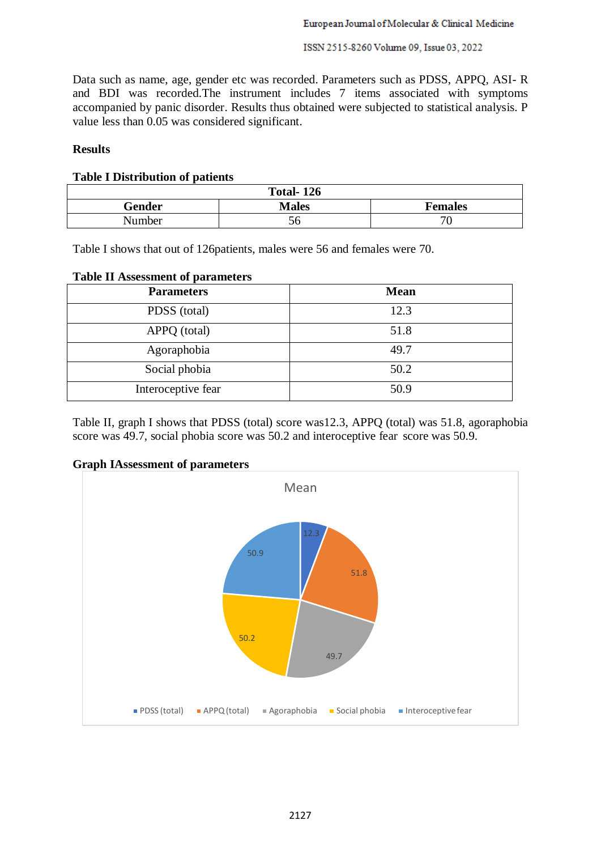#### ISSN 2515-8260 Volume 09, Issue 03, 2022

Data such as name, age, gender etc was recorded. Parameters such as PDSS, APPQ, ASI- R and BDI was recorded.The instrument includes 7 items associated with symptoms accompanied by panic disorder. Results thus obtained were subjected to statistical analysis. P value less than 0.05 was considered significant.

# **Results**

#### **Table I Distribution of patients**

| <b>Total-126</b> |              |                |  |
|------------------|--------------|----------------|--|
| Gender           | <b>Males</b> | <b>Females</b> |  |
| Number           | СO           | '∪             |  |

Table I shows that out of 126patients, males were 56 and females were 70.

### **Table II Assessment of parameters**

| <b>Parameters</b>  | <b>Mean</b> |
|--------------------|-------------|
| PDSS (total)       | 12.3        |
| APPQ (total)       | 51.8        |
| Agoraphobia        | 49.7        |
| Social phobia      | 50.2        |
| Interoceptive fear | 50.9        |

Table II, graph I shows that PDSS (total) score was12.3, APPQ (total) was 51.8, agoraphobia score was 49.7, social phobia score was 50.2 and interoceptive fear score was 50.9.

#### **Graph IAssessment of parameters**

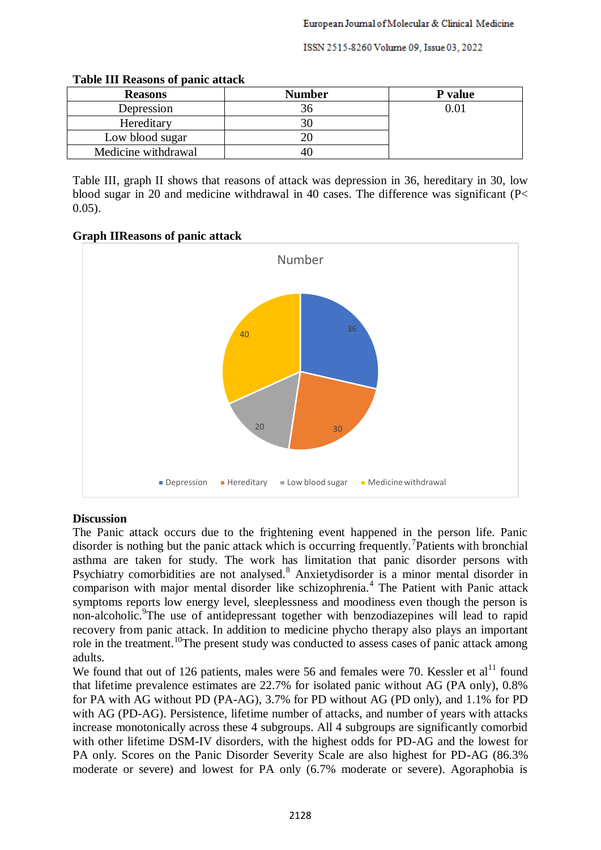ISSN 2515-8260 Volume 09, Issue 03, 2022

| <b>Reasons</b>      | <b>Number</b> | P value |
|---------------------|---------------|---------|
| Depression          |               |         |
| Hereditary          |               |         |
| Low blood sugar     |               |         |
| Medicine withdrawal |               |         |

#### **Table III Reasons of panic attack**

Table III, graph II shows that reasons of attack was depression in 36, hereditary in 30, low blood sugar in 20 and medicine withdrawal in 40 cases. The difference was significant (P< 0.05).

**Graph IIReasons of panic attack**



# **Discussion**

The Panic attack occurs due to the frightening event happened in the person life. Panic disorder is nothing but the panic attack which is occurring frequently.<sup>7</sup>Patients with bronchial asthma are taken for study. The work has limitation that panic disorder persons with Psychiatry comorbidities are not analysed.<sup>8</sup> Anxietydisorder is a minor mental disorder in comparison with major mental disorder like schizophrenia.<sup>4</sup> The Patient with Panic attack symptoms reports low energy level, sleeplessness and moodiness even though the person is non-alcoholic. <sup>9</sup>The use of antidepressant together with benzodiazepines will lead to rapid recovery from panic attack. In addition to medicine phycho therapy also plays an important role in the treatment.<sup>10</sup>The present study was conducted to assess cases of panic attack among adults.

We found that out of 126 patients, males were 56 and females were 70. Kessler et  $al<sup>11</sup>$  found that lifetime prevalence estimates are 22.7% for isolated panic without AG (PA only), 0.8% for PA with AG without PD (PA-AG), 3.7% for PD without AG (PD only), and 1.1% for PD with AG (PD-AG). Persistence, lifetime number of attacks, and number of years with attacks increase monotonically across these 4 subgroups. All 4 subgroups are significantly comorbid with other lifetime DSM-IV disorders, with the highest odds for PD-AG and the lowest for PA only. Scores on the Panic Disorder Severity Scale are also highest for PD-AG (86.3% moderate or severe) and lowest for PA only (6.7% moderate or severe). Agoraphobia is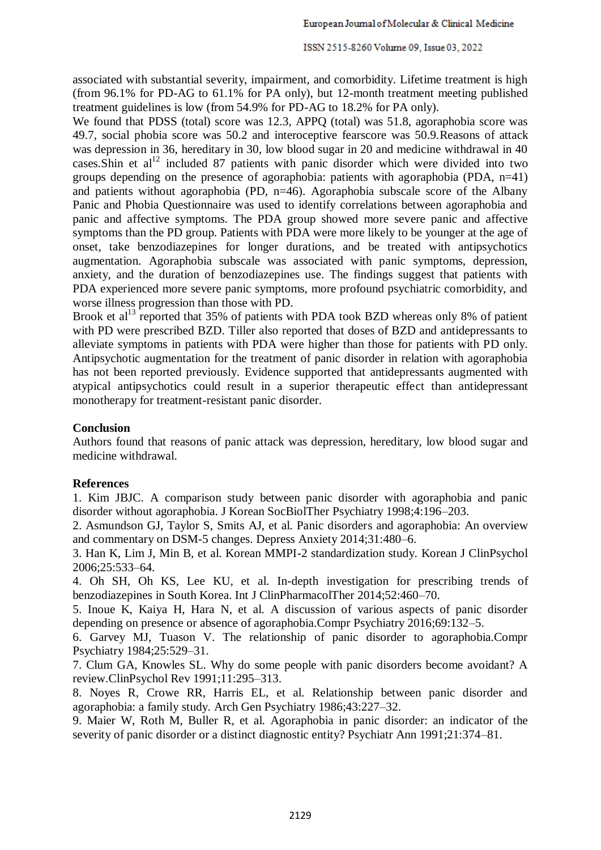associated with substantial severity, impairment, and comorbidity. Lifetime treatment is high (from 96.1% for PD-AG to 61.1% for PA only), but 12-month treatment meeting published treatment guidelines is low (from 54.9% for PD-AG to 18.2% for PA only).

We found that PDSS (total) score was 12.3, APPQ (total) was 51.8, agoraphobia score was 49.7, social phobia score was 50.2 and interoceptive fearscore was 50.9.Reasons of attack was depression in 36, hereditary in 30, low blood sugar in 20 and medicine withdrawal in 40 cases. Shin et al<sup>12</sup> included 87 patients with panic disorder which were divided into two groups depending on the presence of agoraphobia: patients with agoraphobia (PDA, n=41) and patients without agoraphobia (PD, n=46). Agoraphobia subscale score of the Albany Panic and Phobia Questionnaire was used to identify correlations between agoraphobia and panic and affective symptoms. The PDA group showed more severe panic and affective symptoms than the PD group. Patients with PDA were more likely to be younger at the age of onset, take benzodiazepines for longer durations, and be treated with antipsychotics augmentation. Agoraphobia subscale was associated with panic symptoms, depression, anxiety, and the duration of benzodiazepines use. The findings suggest that patients with PDA experienced more severe panic symptoms, more profound psychiatric comorbidity, and worse illness progression than those with PD.

Brook et al<sup>13</sup> reported that 35% of patients with PDA took BZD whereas only 8% of patient with PD were prescribed BZD. Tiller also reported that doses of BZD and antidepressants to alleviate symptoms in patients with PDA were higher than those for patients with PD only. Antipsychotic augmentation for the treatment of panic disorder in relation with agoraphobia has not been reported previously. Evidence supported that antidepressants augmented with atypical antipsychotics could result in a superior therapeutic effect than antidepressant monotherapy for treatment-resistant panic disorder.

### **Conclusion**

Authors found that reasons of panic attack was depression, hereditary, low blood sugar and medicine withdrawal.

# **References**

1. Kim JBJC. A comparison study between panic disorder with agoraphobia and panic disorder without agoraphobia. J Korean SocBiolTher Psychiatry 1998;4:196–203.

2. Asmundson GJ, Taylor S, Smits AJ, et al. Panic disorders and agoraphobia: An overview and commentary on DSM-5 changes. Depress Anxiety 2014;31:480–6.

3. Han K, Lim J, Min B, et al. Korean MMPI-2 standardization study. Korean J ClinPsychol 2006;25:533–64.

4. Oh SH, Oh KS, Lee KU, et al. In-depth investigation for prescribing trends of benzodiazepines in South Korea. Int J ClinPharmacolTher 2014;52:460–70.

5. Inoue K, Kaiya H, Hara N, et al. A discussion of various aspects of panic disorder depending on presence or absence of agoraphobia.Compr Psychiatry 2016;69:132–5.

6. Garvey MJ, Tuason V. The relationship of panic disorder to agoraphobia.Compr Psychiatry 1984;25:529–31.

7. Clum GA, Knowles SL. Why do some people with panic disorders become avoidant? A review.ClinPsychol Rev 1991;11:295–313.

8. Noyes R, Crowe RR, Harris EL, et al. Relationship between panic disorder and agoraphobia: a family study. Arch Gen Psychiatry 1986;43:227–32.

9. Maier W, Roth M, Buller R, et al. Agoraphobia in panic disorder: an indicator of the severity of panic disorder or a distinct diagnostic entity? Psychiatr Ann 1991;21:374–81.